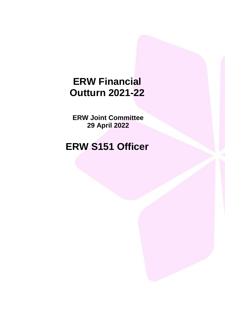# **ERW Financial Outturn 2021-22**

**ERW Joint Committee 29 April 2022**

# **ERW S151 Officer**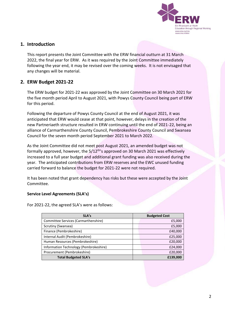

# **1. Introduction**

This report presents the Joint Committee with the ERW financial outturn at 31 March 2022, the final year for ERW. As it was required by the Joint Committee immediately following the year end, it may be revised over the coming weeks. It is not envisaged that any changes will be material.

# **2. ERW Budget 2021-22**

The ERW budget for 2021-22 was approved by the Joint Committee on 30 March 2021 for the five month period April to August 2021, with Powys County Council being part of ERW for this period.

Following the departure of Powys County Council at the end of August 2021, it was anticipated that ERW would cease at that point, however, delays in the creation of the new Partneriaeth structure resulted in ERW continuing until the end of 2021-22, being an alliance of Carmarthenshire County Council, Pembrokeshire County Council and Swansea Council for the seven month period September 2021 to March 2022.

As the Joint Committee did not meet post August 2021, an amended budget was not formally approved, however, the  $5/12^{\text{th}}$ 's approved on 30 March 2021 was effectively increased to a full year budget and additional grant funding was also received during the year. The anticipated contributions from ERW reserves and the EWC unused funding carried forward to balance the budget for 2021-22 were not required.

It has been noted that grant dependency has risks but these were accepted by the Joint Committee.

#### **Service Level Agreements (SLA's)**

For 2021-22, the agreed SLA's were as follows:

| SLA's                                  | <b>Budgeted Cost</b> |  |
|----------------------------------------|----------------------|--|
| Committee Services (Carmarthenshire)   | £5,000               |  |
| Scrutiny (Swansea)                     | £5,000               |  |
| Finance (Pembrokeshire)                | £40,000              |  |
| Internal Audit (Pembrokeshire)         | £25,000              |  |
| Human Resources (Pembrokeshire)        | £20,000              |  |
| Information Technology (Pembrokeshire) | £24,000              |  |
| Procurement (Pembrokeshire)            | £20,000              |  |
| <b>Total Budgeted SLA's</b>            | £139,000             |  |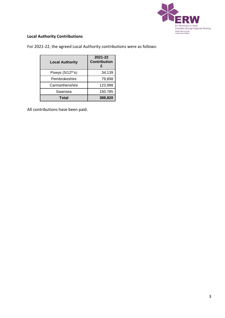

### **Local Authority Contributions**

For 2021-22, the agreed Local Authority contributions were as follows:

| <b>Local Authority</b>        | 2021-22<br><b>Contribution</b> |  |  |
|-------------------------------|--------------------------------|--|--|
| Powys (5/12 <sup>th'</sup> s) | 34,139                         |  |  |
| Pembrokeshire                 | 79,898                         |  |  |
| Carmarthenshire               | 123,998                        |  |  |
| Swansea                       | 150,785                        |  |  |
| Total                         | 388,820                        |  |  |

All contributions have been paid.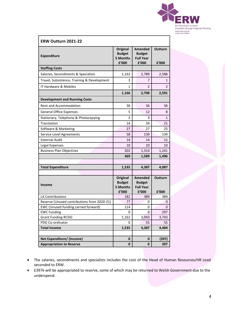

| ERW Outturn 2021-22                              |                                                       |                                                              |                         |  |
|--------------------------------------------------|-------------------------------------------------------|--------------------------------------------------------------|-------------------------|--|
| <b>Expenditure</b>                               | <b>Original</b><br><b>Budget</b><br>5 Months<br>£'000 | <b>Amended</b><br><b>Budget</b><br><b>Full Year</b><br>£'000 | <b>Outturn</b><br>£'000 |  |
| <b>Staffing Costs</b>                            |                                                       |                                                              |                         |  |
| Salaries, Secondments & Specialists              | 1,162                                                 | 2,789                                                        | 2,588                   |  |
| Travel, Subsistence, Training & Development      | 3                                                     | 7                                                            | 1                       |  |
| IT Hardware & Mobiles                            | 1                                                     | 2                                                            | 2                       |  |
|                                                  | 1,166                                                 | 2,798                                                        | 2,591                   |  |
| <b>Development and Running Costs</b>             |                                                       |                                                              |                         |  |
| <b>Rent and Accommodation</b>                    | 36                                                    | 36                                                           | 36                      |  |
| <b>General Office Expenses</b>                   | 5                                                     | 12                                                           | 8                       |  |
| Stationary, Telephone & Photocopying             | 3                                                     | 3                                                            | $\mathbf 1$             |  |
| Translation                                      | 14                                                    | 34                                                           | 21                      |  |
| Software & Marketing                             | 27                                                    | 27                                                           | 25                      |  |
| Service Level Agreements                         | 58                                                    | 139                                                          | 139                     |  |
| <b>External Audit</b>                            | 14                                                    | 14                                                           | 15                      |  |
| Legal Expenses                                   | 10                                                    | 10                                                           | 10                      |  |
| <b>Business Plan Objectives</b>                  | 202                                                   | 1,314                                                        | 1,241                   |  |
|                                                  | 369                                                   | 1,589                                                        | 1,496                   |  |
|                                                  |                                                       |                                                              |                         |  |
| <b>Total Expenditure</b>                         | 1,535                                                 | 4,387                                                        | 4,087                   |  |
|                                                  |                                                       |                                                              |                         |  |
| <b>Income</b>                                    | <b>Original</b><br><b>Budget</b><br>5 Months<br>£'000 | <b>Amended</b><br><b>Budget</b><br><b>Full Year</b><br>£'000 | Outturn<br>£'000        |  |
| LA Contributions                                 | 182                                                   | 389                                                          | 389                     |  |
| Reserve (Unused contributions from 2020-21)      | 77                                                    | 0                                                            | 0                       |  |
| EWC (Unused funding carried forward)             | 114                                                   | 0                                                            | $\pmb{0}$               |  |
| <b>EWC Funding</b><br><b>Grant Funding RCSIG</b> | 0                                                     | $\mathbf{0}$<br>3,943                                        | 297                     |  |
| PDG Co-ordinator                                 | 1,162<br>0                                            | 55                                                           | 3,743<br>55             |  |
| <b>Total Income</b>                              | 1,535                                                 | 4,387                                                        | 4,484                   |  |
|                                                  |                                                       |                                                              |                         |  |
| Net Expenditure/ (Income)                        | $\bf{0}$                                              | $\bf{0}$                                                     | (397)                   |  |
| <b>Appropriation to Reserve</b>                  | $\bf{0}$                                              | $\bf{0}$                                                     | 397                     |  |

- The salaries, secondments and specialists includes the cost of the Head of Human Resources/HR Lead seconded to ERW.
- £397k will be appropriated to reserve, some of which may be returned to Welsh Government due to the underspend.